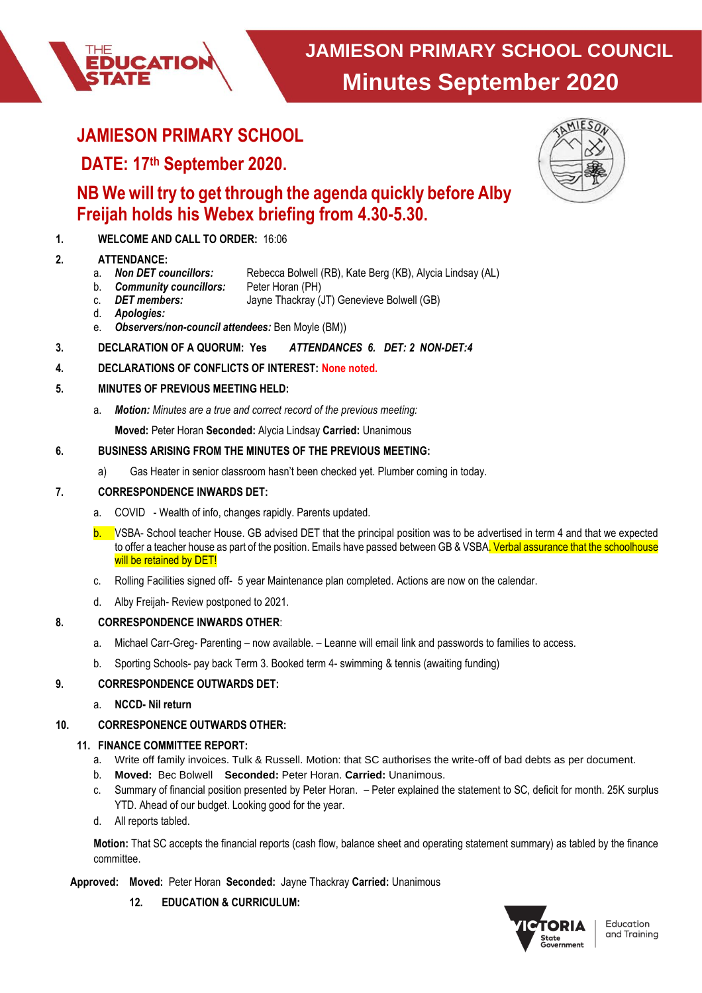

# **JAMIESON PRIMARY SCHOOL**

**UCATION** 

# **DATE: 17th September 2020.**

# **NB We will try to get through the agenda quickly before Alby Freijah holds his Webex briefing from 4.30-5.30.**

**1. WELCOME AND CALL TO ORDER:** 16:06

- **2. ATTENDANCE:** Rebecca Bolwell (RB), Kate Berg (KB), Alycia Lindsay (AL)
	- b. *Community councillors:* Peter Horan (PH)
	- c. *DET members:* Jayne Thackray (JT) Genevieve Bolwell (GB)
	- d. *Apologies:*
	- e. *Observers/non-council attendees:* Ben Moyle (BM))
- **3. DECLARATION OF A QUORUM: Yes** *ATTENDANCES 6. DET: 2 NON-DET:4*
- **4. DECLARATIONS OF CONFLICTS OF INTEREST: None noted.**

# **5. MINUTES OF PREVIOUS MEETING HELD:**

- a. *Motion: Minutes are a true and correct record of the previous meeting:*
	- **Moved:** Peter Horan **Seconded:** Alycia Lindsay **Carried:** Unanimous

# **6. BUSINESS ARISING FROM THE MINUTES OF THE PREVIOUS MEETING:**

a) Gas Heater in senior classroom hasn't been checked yet. Plumber coming in today.

# **7. CORRESPONDENCE INWARDS DET:**

- a. COVID Wealth of info, changes rapidly. Parents updated.
- **b.** VSBA- School teacher House. GB advised DET that the principal position was to be advertised in term 4 and that we expected to offer a teacher house as part of the position. Emails have passed between GB & VSBA. Verbal assurance that the schoolhouse will be retained by DET!
- c. Rolling Facilities signed off- 5 year Maintenance plan completed. Actions are now on the calendar.
- d. Alby Freijah- Review postponed to 2021.

# **8. CORRESPONDENCE INWARDS OTHER**:

- a. Michael Carr-Greg- Parenting now available. Leanne will email link and passwords to families to access.
- b. Sporting Schools- pay back Term 3. Booked term 4- swimming & tennis (awaiting funding)

# **9. CORRESPONDENCE OUTWARDS DET:**

a. **NCCD- Nil return**

# **10. CORRESPONENCE OUTWARDS OTHER:**

# **11. FINANCE COMMITTEE REPORT:**

- a. Write off family invoices. Tulk & Russell. Motion: that SC authorises the write-off of bad debts as per document.
- b. **Moved:** Bec Bolwell **Seconded:** Peter Horan. **Carried:** Unanimous.
- c. Summary of financial position presented by Peter Horan. Peter explained the statement to SC, deficit for month. 25K surplus YTD. Ahead of our budget. Looking good for the year.
- d. All reports tabled.

**Motion:** That SC accepts the financial reports (cash flow, balance sheet and operating statement summary) as tabled by the finance committee.

# **Moved:** Peter Horan **Seconded:** Jayne Thackray **Carried:** Unanimous **Approved:**

**12. EDUCATION & CURRICULUM:**



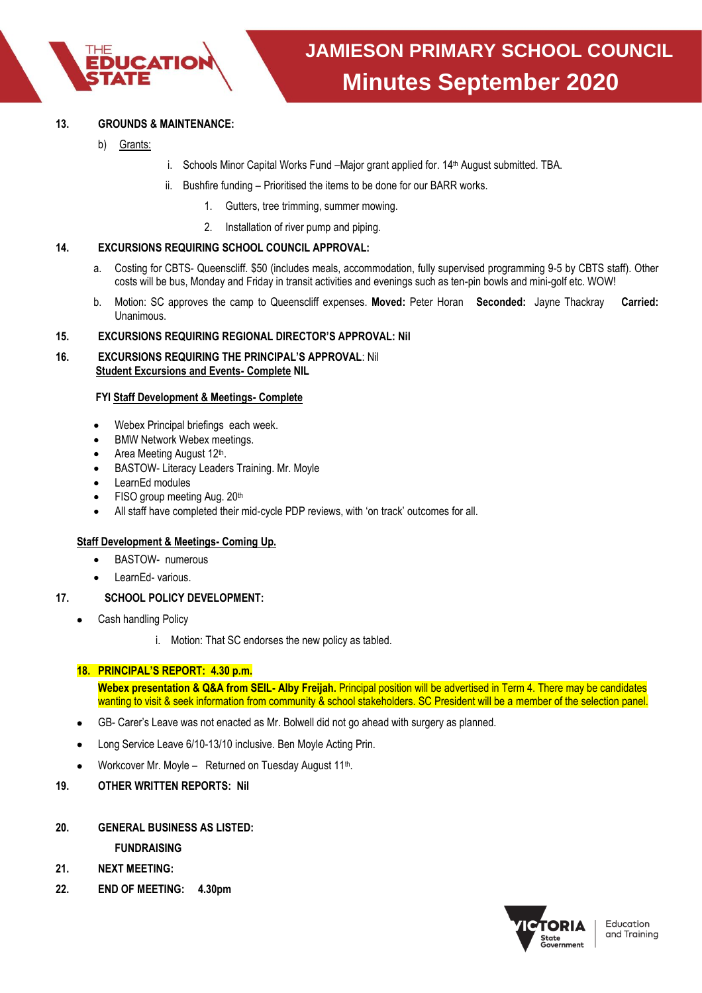

#### **13. GROUNDS & MAINTENANCE:**

- b) Grants:
- i. Schools Minor Capital Works Fund –Major grant applied for. 14<sup>th</sup> August submitted. TBA.
- ii. Bushfire funding Prioritised the items to be done for our BARR works.
	- 1. Gutters, tree trimming, summer mowing.
	- 2. Installation of river pump and piping.

#### **14. EXCURSIONS REQUIRING SCHOOL COUNCIL APPROVAL:**

- a. Costing for CBTS- Queenscliff. \$50 (includes meals, accommodation, fully supervised programming 9-5 by CBTS staff). Other costs will be bus, Monday and Friday in transit activities and evenings such as ten-pin bowls and mini-golf etc. WOW!
- b. Motion: SC approves the camp to Queenscliff expenses. **Moved:** Peter Horan **Seconded:** Jayne Thackray **Carried:** Unanimous.

#### **15. EXCURSIONS REQUIRING REGIONAL DIRECTOR'S APPROVAL: Nil**

**16. EXCURSIONS REQUIRING THE PRINCIPAL'S APPROVAL**: Nil  **Student Excursions and Events- Complete NIL**

#### **FYI Staff Development & Meetings- Complete**

- Webex Principal briefings each week.
- BMW Network Webex meetings.
- Area Meeting August 12<sup>th</sup>.
- BASTOW- Literacy Leaders Training. Mr. Moyle
- LearnEd modules
- FISO group meeting Aug. 20th
- All staff have completed their mid-cycle PDP reviews, with 'on track' outcomes for all.

#### **Staff Development & Meetings- Coming Up.**

- BASTOW- numerous
- LearnEd- various.
- **17. SCHOOL POLICY DEVELOPMENT:** 
	- Cash handling Policy
		- i. Motion: That SC endorses the new policy as tabled.

#### **18. PRINCIPAL'S REPORT: 4.30 p.m.**

**Webex presentation & Q&A from SEIL- Alby Freijah.** Principal position will be advertised in Term 4. There may be candidates wanting to visit & seek information from community & school stakeholders. SC President will be a member of the selection panel.

- GB- Carer's Leave was not enacted as Mr. Bolwell did not go ahead with surgery as planned.
- Long Service Leave 6/10-13/10 inclusive. Ben Moyle Acting Prin.
- Workcover Mr. Moyle Returned on Tuesday August 11<sup>th</sup>.
- **19. OTHER WRITTEN REPORTS: Nil**
- **20. GENERAL BUSINESS AS LISTED:**

**FUNDRAISING**

- **21. NEXT MEETING:**
- **22. END OF MEETING: 4.30pm**